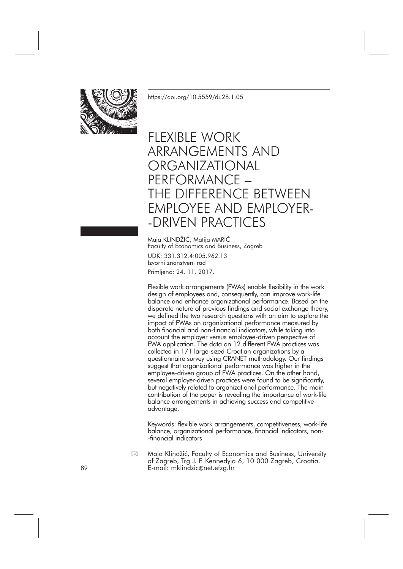

<https://doi.org/10.5559/di.28.1.05>

# FLEXIBLE WORK ARRANGEMENTS AND **ORGANIZATIONAL** PERFORMANCE – THE DIFFERENCE BETWEEN EMPLOYEE AND EMPLOYER- -DRIVEN PRACTICES

Maja KLINDŽIĆ, Matija MARIĆ Faculty of Economics and Business, Zagreb

UDK: 331.312.4:005.962.13 Izvorni znanstveni rad Primljeno: 24. 11. 2017.

Flexible work arrangements (FWAs) enable flexibility in the work design of employees and, consequently, can improve work-life balance and enhance organizational performance. Based on the disparate nature of previous findings and social exchange theory, we defined the two research questions with an aim to explore the impact of FWAs on organizational performance measured by both financial and non-financial indicators, while taking into account the employer versus employee-driven perspective of FWA application. The data on 12 different FWA practices was collected in 171 large-sized Croatian organizations by a questionnaire survey using CRANET methodology. Our findings suggest that organizational performance was higher in the employee-driven group of FWA practices. On the other hand, several employer-driven practices were found to be significantly, but negatively related to organizational performance. The main contribution of the paper is revealing the importance of work-life balance arrangements in achieving success and competitive advantage.

Keywords: flexible work arrangements, competitiveness, work-life balance, organizational performance, financial indicators, non- -financial indicators

Maja Klindžić, Faculty of Economics and Business, University of Zagreb, Trg J. F. Kennedyja 6, 10 000 Zagreb, Croatia. 89 E-mail: mklindzic@net.efzg.hr  $\boxtimes$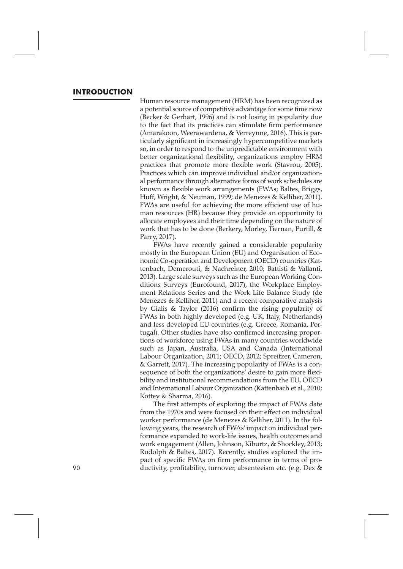## **INTRODUCTION**

Human resource management (HRM) has been recognized as a potential source of competitive advantage for some time now (Becker & Gerhart, 1996) and is not losing in popularity due to the fact that its practices can stimulate firm performance (Amarakoon, Weerawardena, & Verreynne, 2016). This is particularly significant in increasingly hypercompetitive markets so, in order to respond to the unpredictable environment with better organizational flexibility, organizations employ HRM practices that promote more flexible work (Stavrou, 2005). Practices which can improve individual and/or organizational performance through alternative forms of work schedules are known as flexible work arrangements (FWAs; Baltes, Briggs, Huff, Wright, & Neuman, 1999; de Menezes & Kelliher, 2011). FWAs are useful for achieving the more efficient use of human resources (HR) because they provide an opportunity to allocate employees and their time depending on the nature of work that has to be done (Berkery, Morley, Tiernan, Purtill, & Parry, 2017).

FWAs have recently gained a considerable popularity mostly in the European Union (EU) and Organisation of Economic Co-operation and Development (OECD) countries (Kattenbach, Demerouti, & Nachreiner, 2010; Battisti & Vallanti, 2013). Large scale surveys such as the European Working Conditions Surveys (Eurofound, 2017), the Workplace Employment Relations Series and the Work Life Balance Study (de Menezes & Kelliher, 2011) and a recent comparative analysis by Gialis & Taylor (2016) confirm the rising popularity of FWAs in both highly developed (e.g. UK, Italy, Netherlands) and less developed EU countries (e.g. Greece, Romania, Portugal). Other studies have also confirmed increasing proportions of workforce using FWAs in many countries worldwide such as Japan, Australia, USA and Canada (International Labour Organization, 2011; OECD, 2012; Spreitzer, Cameron, & Garrett, 2017). The increasing popularity of FWAs is a consequence of both the organizations' desire to gain more flexibility and institutional recommendations from the EU, OECD and International Labour Organization (Kattenbach et al., 2010; Kottey & Sharma, 2016).

The first attempts of exploring the impact of FWAs date from the 1970s and were focused on their effect on individual worker performance (de Menezes & Kelliher, 2011). In the following years, the research of FWAs' impact on individual performance expanded to work-life issues, health outcomes and work engagement (Allen, Johnson, Kiburtz, & Shockley, 2013; Rudolph & Baltes, 2017). Recently, studies explored the impact of specific FWAs on firm performance in terms of pro-90 ductivity, profitability, turnover, absenteeism etc. (e.g. Dex &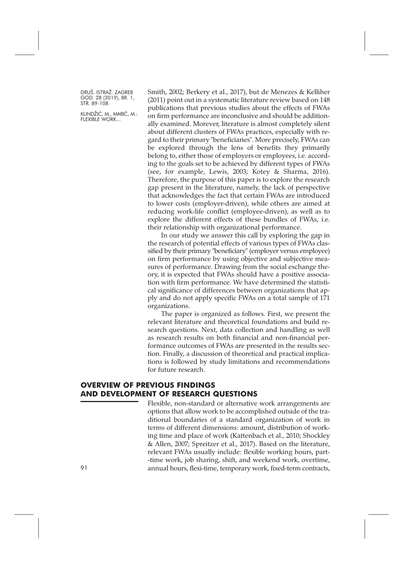KLINDŽIĆ, M., MARIĆ, M.: FLEXIBLE WORK...

Smith, 2002; Berkery et al., 2017), but de Menezes & Kelliher (2011) point out in a systematic literature review based on 148 publications that previous studies about the effects of FWAs on firm performance are inconclusive and should be additionally examined. Morever, literature is almost completely silent about different clusters of FWAs practices, especially with regard to their primary "beneficiaries". More precisely, FWAs can be explored through the lens of benefits they primarily belong to, either those of employers or employees, i.e. according to the goals set to be achieved by different types of FWAs (see, for example, Lewis, 2003; Kotey & Sharma, 2016). Therefore, the purpose of this paper is to explore the research gap present in the literature, namely, the lack of perspective that acknowledges the fact that certain FWAs are introduced to lower costs (employer-driven), while others are aimed at reducing work-life conflict (employee-driven), as well as to explore the different effects of these bundles of FWAs, i.e. their relationship with organizational performance.

In our study we answer this call by exploring the gap in the research of potential effects of various types of FWAs classified by their primary "beneficiary" (employer versus employee) on firm performance by using objective and subjective measures of performance. Drawing from the social exchange theory, it is expected that FWAs should have a positive association with firm performance. We have determined the statistical significance of differences between organizations that apply and do not apply specific FWAs on a total sample of 171 organizations.

The paper is organized as follows. First, we present the relevant literature and theoretical foundations and build research questions. Next, data collection and handling as well as research results on both financial and non-financial performance outcomes of FWAs are presented in the results section. Finally, a discussion of theoretical and practical implications is followed by study limitations and recommendations for future research.

#### **OVERVIEW OF PREVIOUS FINDINGS AND DEVELOPMENT OF RESEARCH QUESTIONS**

Flexible, non-standard or alternative work arrangements are options that allow work to be accomplished outside of the traditional boundaries of a standard organization of work in terms of different dimensions: amount, distribution of working time and place of work (Kattenbach et al., 2010; Shockley & Allen, 2007; Spreitzer et al., 2017). Based on the literature, relevant FWAs usually include: flexible working hours, part- -time work, job sharing, shift, and weekend work, overtime, 91 annual hours, flexi-time, temporary work, fixed-term contracts,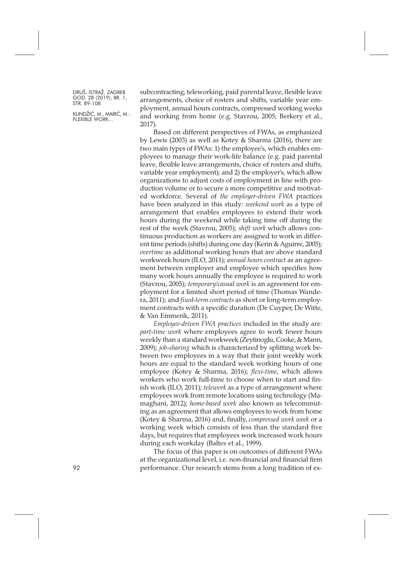KLINDŽIĆ, M., MARIĆ, M.: FLEXIBLE WORK...

subcontracting, teleworking, paid parental leave, flexible leave arrangements, choice of rosters and shifts, variable year employment, annual hours contracts, compressed working weeks and working from home (e.g. Stavrou, 2005; Berkery et al., 2017).

Based on different perspectives of FWAs, as emphasized by Lewis (2003) as well as Kotey & Sharma (2016), there are two main types of FWAs: 1) the employee's, which enables employees to manage their work-life balance (e.g. paid parental leave, flexible leave arrangements, choice of rosters and shifts, variable year employment); and 2) the employer's, which allow organizations to adjust costs of employment in line with production volume or to secure a more competitive and motivated workforce. Several of *the employer-driven FWA* practices have been analyzed in this study: *weekend work* as a type of arrangement that enables employees to extend their work hours during the weekend while taking time off during the rest of the week (Stavrou, 2005); *shift work* which allows continuous production as workers are assigned to work in different time periods (shifts) during one day (Kerin & Aguirre, 2005); *overtime* as additional working hours that are above standard workweek hours (ILO, 2011); *annual hours contract* as an agreement between employer and employee which specifies how many work hours annually the employee is required to work (Stavrou, 2005); *temporary/casual work* is an agreement for employment for a limited short period of time (Thomas Wandera, 2011); and *fixed-term contracts* as short or long-term employment contracts with a specific duration (De Cuyper, De Witte, & Van Emmerik, 2011).

*Employee-driven FWA practices* included in the study are: *part-time work* where employees agree to work fewer hours weekly than a standard workweek (Zeytinoglu, Cooke, & Mann, 2009); *job-sharing* which is characterized by splitting work between two employees in a way that their joint weekly work hours are equal to the standard week working hours of one employee (Kotey & Sharma, 2016); *flexi-time*, which allows workers who work full-time to choose when to start and finish work (ILO, 2011); *telework* as a type of arrangement where employees work from remote locations using technology (Mamaghani, 2012); *home-based work* also known as telecommuting as an agreement that allows employees to work from home (Kotey & Sharma, 2016) and, finally, *compressed work week* or a working week which consists of less than the standard five days, but requires that employees work increased work hours during each workday (Baltes et al., 1999).

The focus of this paper is on outcomes of different FWAs at the organizational level, i.e. non-financial and financial firm performance. Our research stems from a long tradition of ex-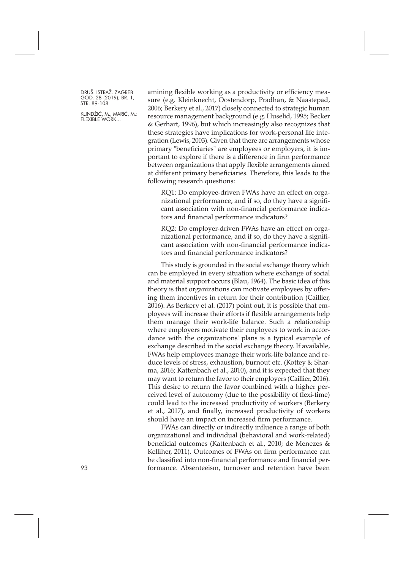KLINDŽIĆ, M., MARIĆ, M.: FLEXIBLE WORK...

amining flexible working as a productivity or efficiency measure (e.g. Kleinknecht, Oostendorp, Pradhan, & Naastepad, 2006; Berkery et al., 2017) closely connected to strategic human resource management background (e.g. Huselid, 1995; Becker & Gerhart, 1996), but which increasingly also recognizes that these strategies have implications for work-personal life integration (Lewis, 2003). Given that there are arrangements whose primary "beneficiaries" are employees or employers, it is important to explore if there is a difference in firm performance between organizations that apply flexible arrangements aimed at different primary beneficiaries. Therefore, this leads to the following research questions:

RQ1: Do employee-driven FWAs have an effect on organizational performance, and if so, do they have a significant association with non-financial performance indicators and financial performance indicators?

RQ2: Do employer-driven FWAs have an effect on organizational performance, and if so, do they have a significant association with non-financial performance indicators and financial performance indicators?

This study is grounded in the social exchange theory which can be employed in every situation where exchange of social and material support occurs (Blau, 1964). The basic idea of this theory is that organizations can motivate employees by offering them incentives in return for their contribution (Caillier, 2016). As Berkery et al. (2017) point out, it is possible that employees will increase their efforts if flexible arrangements help them manage their work-life balance. Such a relationship where employers motivate their employees to work in accordance with the organizations' plans is a typical example of exchange described in the social exchange theory. If available, FWAs help employees manage their work-life balance and reduce levels of stress, exhaustion, burnout etc. (Kottey & Sharma, 2016; Kattenbach et al., 2010), and it is expected that they may want to return the favor to their employers (Caillier, 2016). This desire to return the favor combined with a higher perceived level of autonomy (due to the possibility of flexi-time) could lead to the increased productivity of workers (Berkery et al., 2017), and finally, increased productivity of workers should have an impact on increased firm performance.

FWAs can directly or indirectly influence a range of both organizational and individual (behavioral and work-related) beneficial outcomes (Kattenbach et al., 2010; de Menezes & Kelliher, 2011). Outcomes of FWAs on firm performance can be classified into non-financial performance and financial per-93 formance. Absenteeism, turnover and retention have been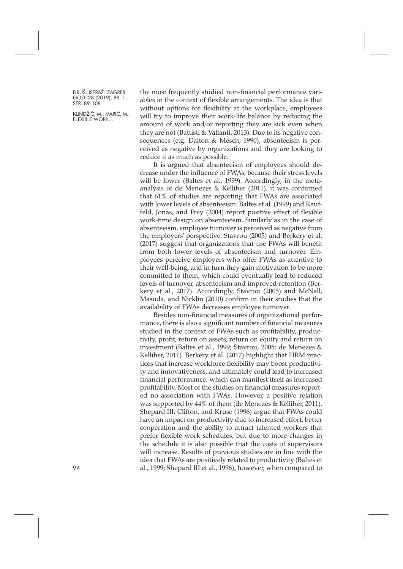KLINDŽIĆ, M., MARIĆ, M.: FLEXIBLE WORK...

the most frequently studied non-financial performance variables in the context of flexible arrangements. The idea is that without options for flexibility at the workplace, employees will try to improve their work-life balance by reducing the amount of work and/or reporting they are sick even when they are not (Battisti & Vallanti, 2013). Due to its negative consequences (e.g. Dalton & Mesch, 1990), absenteeism is perceived as negative by organizations and they are looking to reduce it as much as possible.

It is argued that absenteeism of employees should decrease under the influence of FWAs, because their stress levels will be lower (Baltes et al., 1999). Accordingly, in the metaanalysis of de Menezes & Kelliher (2011), it was confirmed that 61% of studies are reporting that FWAs are associated with lower levels of absenteeism. Baltes et al. (1999) and Kauffeld, Jonas, and Frey (2004) report positive effect of flexible work-time design on absenteeism. Similarly as in the case of absenteeism, employee turnover is perceived as negative from the employers' perspective. Stavrou (2005) and Berkery et al. (2017) suggest that organizations that use FWAs will benefit from both lower levels of absenteeism and turnover. Employees perceive employers who offer FWAs as attentive to their well-being, and in turn they gain motivation to be more committed to them, which could eventually lead to reduced levels of turnover, absenteeism and improved retention (Berkery et al., 2017). Accordingly, Stavrou (2005) and McNall, Masuda, and Nicklin (2010) confirm in their studies that the availability of FWAs decreases employee turnover.

Besides non-financial measures of organizational performance, there is also a significant number of financial measures studied in the context of FWAs such as profitability, productivity, profit, return on assets, return on equity and return on investment (Baltes et al., 1999; Stavrou, 2005; de Menezes & Kelliher, 2011). Berkery et al. (2017) highlight that HRM practices that increase workforce flexibility may boost productivity and innovativeness, and ultimately could lead to increased financial performance, which can manifest itself as increased profitability. Most of the studies on financial measures reported no association with FWAs. However, a positive relation was supported by 44% of them (de Menezes & Kelliher, 2011). Shepard III, Clifton, and Kruse (1996) argue that FWAs could have an impact on productivity due to increased effort, better cooperation and the ability to attract talented workers that prefer flexible work schedules, but due to more changes in the schedule it is also possible that the costs of supervisors will increase. Results of previous studies are in line with the idea that FWAs are positively related to productivity (Baltes et al., 1999; Shepard III et al., 1996), however, when compared to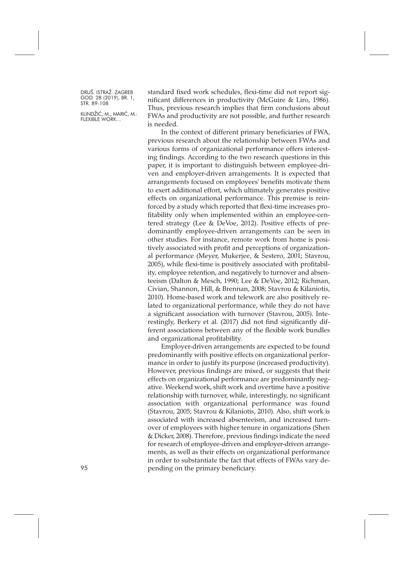KLINDŽIĆ, M., MARIĆ, M.: FLEXIBLE WORK...

standard fixed work schedules, flexi-time did not report significant differences in productivity (McGuire & Liro, 1986). Thus, previous research implies that firm conclusions about FWAs and productivity are not possible, and further research is needed.

In the context of different primary beneficiaries of FWA, previous research about the relationship between FWAs and various forms of organizational performance offers interesting findings. According to the two research questions in this paper, it is important to distinguish between employee-driven and employer-driven arrangements. It is expected that arrangements focused on employees' benefits motivate them to exert additional effort, which ultimately generates positive effects on organizational performance. This premise is reinforced by a study which reported that flexi-time increases profitability only when implemented within an employee-centered strategy (Lee & DeVoe, 2012). Positive effects of predominantly employee-driven arrangements can be seen in other studies. For instance, remote work from home is positively associated with profit and perceptions of organizational performance (Meyer, Mukerjee, & Sestero, 2001; Stavrou, 2005), while flexi-time is positively associated with profitability, employee retention, and negatively to turnover and absenteeism (Dalton & Mesch, 1990; Lee & DeVoe, 2012; Richman, Civian, Shannon, Hill, & Brennan, 2008; Stavrou & Kilaniotis, 2010). Home-based work and telework are also positively related to organizational performance, while they do not have a significant association with turnover (Stavrou, 2005). Interestingly, Berkery et al. (2017) did not find significantly different associations between any of the flexible work bundles and organizational profitability.

Employer-driven arrangements are expected to be found predominantly with positive effects on organizational performance in order to justify its purpose (increased productivity). However, previous findings are mixed, or suggests that their effects on organizational performance are predominantly negative. Weekend work, shift work and overtime have a positive relationship with turnover, while, interestingly, no significant association with organizational performance was found (Stavrou, 2005; Stavrou & Kilaniotis, 2010). Also, shift work is associated with increased absenteeism, and increased turnover of employees with higher tenure in organizations (Shen & Dicker, 2008). Therefore, previous findings indicate the need for research of employee-driven and employer-driven arrangements, as well as their effects on organizational performance in order to substantiate the fact that effects of FWAs vary de-95 pending on the primary beneficiary.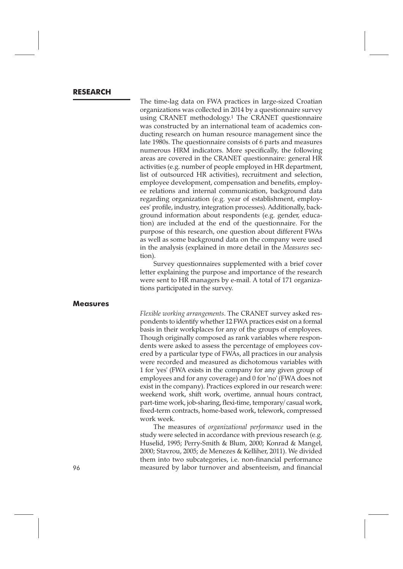#### **RESEARCH**

The time-lag data on FWA practices in large-sized Croatian organizations was collected in 2014 by a questionnaire survey using CRANET methodology.1 The CRANET questionnaire was constructed by an international team of academics conducting research on human resource management since the late 1980s. The questionnaire consists of 6 parts and measures numerous HRM indicators. More specifically, the following areas are covered in the CRANET questionnaire: general HR activities (e.g. number of people employed in HR department, list of outsourced HR activities), recruitment and selection, employee development, compensation and benefits, employee relations and internal communication, background data regarding organization (e.g. year of establishment, employees' profile, industry, integration processes). Additionally, background information about respondents (e.g. gender, education) are included at the end of the questionnaire. For the purpose of this research, one question about different FWAs as well as some background data on the company were used in the analysis (explained in more detail in the *Measures* section).

Survey questionnaires supplemented with a brief cover letter explaining the purpose and importance of the research were sent to HR managers by e-mail. A total of 171 organizations participated in the survey.

#### **Measures**

*Flexible working arrangements*. The CRANET survey asked respondents to identify whether 12 FWA practices exist on a formal basis in their workplaces for any of the groups of employees. Though originally composed as rank variables where respondents were asked to assess the percentage of employees covered by a particular type of FWAs, all practices in our analysis were recorded and measured as dichotomous variables with 1 for 'yes' (FWA exists in the company for any given group of employees and for any coverage) and 0 for 'no' (FWA does not exist in the company). Practices explored in our research were: weekend work, shift work, overtime, annual hours contract, part-time work, job-sharing, flexi-time, temporary/ casual work, fixed-term contracts, home-based work, telework, compressed work week.

The measures of *organizational performance* used in the study were selected in accordance with previous research (e.g. Huselid, 1995; Perry-Smith & Blum, 2000; Konrad & Mangel, 2000; Stavrou, 2005; de Menezes & Kelliher, 2011). We divided them into two subcategories, i.e. non-financial performance 96 measured by labor turnover and absenteeism, and financial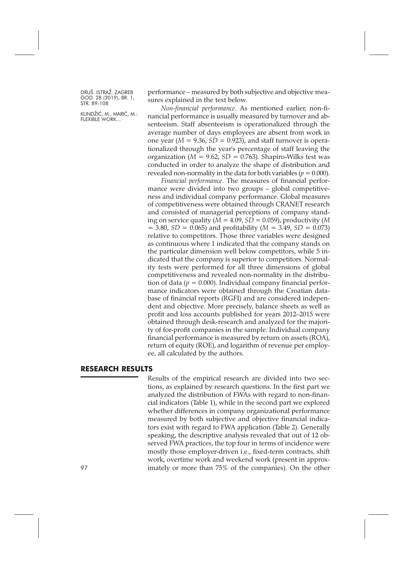KLINDŽIĆ, M., MARIĆ, M.: FLEXIBLE WORK...

performance – measured by both subjective and objective measures explained in the text below.

*Non-financial performance*. As mentioned earlier, non-financial performance is usually measured by turnover and absenteeism. Staff absenteeism is operationalized through the average number of days employees are absent from work in one year ( $M = 9.36$ ,  $SD = 0.923$ ), and staff turnover is operationalized through the year's percentage of staff leaving the organization ( $M = 9.62$ ,  $SD = 0.763$ ). Shapiro-Wilks test was conducted in order to analyze the shape of distribution and revealed non-normality in the data for both variables ( $p = 0.000$ ).

*Financial performance*. The measures of financial performance were divided into two groups – global competitiveness and individual company performance. Global measures of competitiveness were obtained through CRANET research and consisted of managerial perceptions of company standing on service quality (*M =* 4.09, *SD =* 0.059), productivity (*M =* 3.80, *SD =* 0.065) and profitability (*M =* 3.49, *SD =* 0.073) relative to competitors. Those three variables were designed as continuous where 1 indicated that the company stands on the particular dimension well below competitors, while 5 indicated that the company is superior to competitors. Normality tests were performed for all three dimensions of global competitiveness and revealed non-normality in the distribution of data ( $p = 0.000$ ). Individual company financial performance indicators were obtained through the Croatian database of financial reports (RGFI) and are considered independent and objective. More precisely, balance sheets as well as profit and loss accounts published for years 2012–2015 were obtained through desk-research and analyzed for the majority of for-profit companies in the sample. Individual company financial performance is measured by return on assets (ROA), return of equity (ROE), and logarithm of revenue per employee, all calculated by the authors.

### **RESEARCH RESULTS**

Results of the empirical research are divided into two sections, as explained by research questions. In the first part we analyzed the distribution of FWAs with regard to non-financial indicators (Table 1), while in the second part we explored whether differences in company organizational performance measured by both subjective and objective financial indicators exist with regard to FWA application (Table 2). Generally speaking, the descriptive analysis revealed that out of 12 observed FWA practices, the top four in terms of incidence were mostly those employer-driven i.e., fixed-term contracts, shift work, overtime work and weekend work (present in approx-97 **imately or more than 75% of the companies). On the other**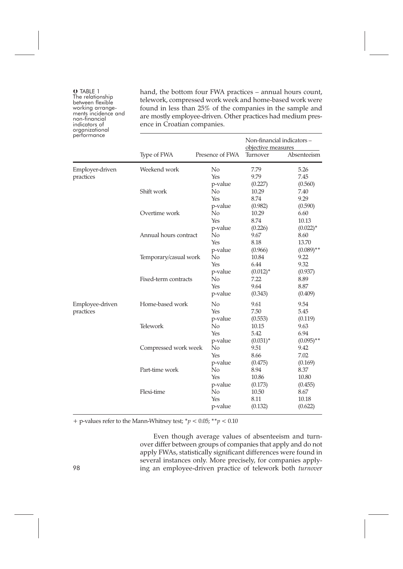O TABLE 1 between flexible<br>working arrange-<br>ments incidence and<br>non-financial<br>indicators of indicators of<br>organizational performance

hand, the bottom four FWA practices – annual hours count, telework, compressed work week and home-based work were found in less than 25% of the companies in the sample and are mostly employee-driven. Other practices had medium presence in Croatian companies.

| performance                  |                       |                                             | Non-financial indicators-<br>objective measures |                                     |  |
|------------------------------|-----------------------|---------------------------------------------|-------------------------------------------------|-------------------------------------|--|
|                              | Type of FWA           | Presence of FWA                             | Turnover                                        | Absenteeism                         |  |
| Employer-driven<br>practices | Weekend work          | $\rm No$<br>Yes                             | 7.79<br>9.79                                    | 5.26<br>7.45                        |  |
|                              | Shift work            | p-value<br>No<br>Yes                        | (0.227)<br>10.29<br>8.74                        | (0.560)<br>7.40<br>9.29             |  |
|                              | Overtime work         | p-value<br>No<br>Yes                        | (0.982)<br>10.29<br>8.74                        | (0.590)<br>6.60<br>10.13            |  |
|                              | Annual hours contract | p-value<br>No<br>Yes                        | (0.226)<br>9.67<br>8.18                         | $(0.022)^*$<br>8.60<br>13.70        |  |
|                              | Temporary/casual work | p-value<br>No<br>Yes                        | (0.966)<br>10.84<br>6.44                        | $(0.089)$ **<br>9.22<br>9.32        |  |
|                              | Fixed-term contracts  | p-value<br>No<br>Yes<br>p-value             | $(0.012)^*$<br>7.22<br>9.64<br>(0.343)          | (0.937)<br>8.89<br>8.87<br>(0.409)  |  |
| Employee-driven<br>practices | Home-based work       | N <sub>o</sub><br>Yes                       | 9.61<br>7.50                                    | 9.54<br>5.45                        |  |
|                              | Telework              | p-value<br>N <sub>0</sub><br>Yes            | (0.553)<br>10.15<br>5.42                        | (0.119)<br>9.63<br>6.94             |  |
|                              | Compressed work week  | p-value<br>N <sub>o</sub><br>Yes            | $(0.031)^*$<br>9.51<br>8.66                     | $(0.095)$ **<br>9.42<br>7.02        |  |
|                              | Part-time work        | p-value<br>N <sub>0</sub><br>Yes            | (0.475)<br>8.94<br>10.86                        | (0.169)<br>8.37<br>10.80            |  |
|                              | Flexi-time            | p-value<br>N <sub>0</sub><br>Yes<br>p-value | (0.173)<br>10.50<br>8.11<br>(0.132)             | (0.455)<br>8.67<br>10.18<br>(0.622) |  |

+ p-values refer to the Mann-Whitney test; \**p* < 0.05; \*\**p* < 0.10

Even though average values of absenteeism and turnover differ between groups of companies that apply and do not apply FWAs, statistically significant differences were found in several instances only. More precisely, for companies apply-98 ing an employee-driven practice of telework both *turnover*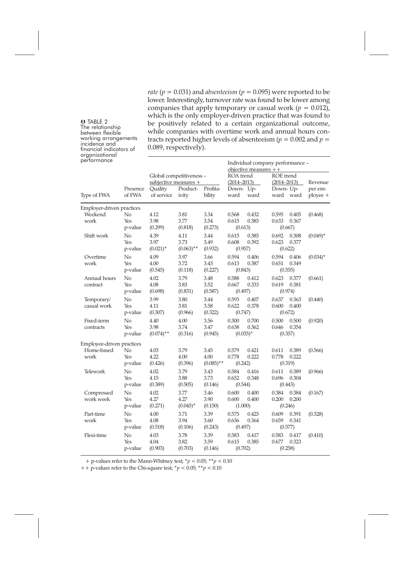*rate* ( $p = 0.031$ ) and *absenteeism* ( $p = 0.095$ ) were reported to be lower. Interestingly, turnover rate was found to be lower among companies that apply temporary or casual work ( $p = 0.012$ ), which is the only employer-driven practice that was found to be positively related to a certain organizational outcome, while companies with overtime work and annual hours contracts reported higher levels of absenteeism ( $p = 0.002$  and  $p =$ 0.089, respectively).

| perrormance               |                      |                                                   |                              |                              | Individual company performance -<br>objective measures $++$ |                                     |                |                           |                     |
|---------------------------|----------------------|---------------------------------------------------|------------------------------|------------------------------|-------------------------------------------------------------|-------------------------------------|----------------|---------------------------|---------------------|
|                           | Presence<br>of FWA   | Global competitiveness -<br>subjective measures + |                              | ROA trend<br>$(2014 - 2013)$ |                                                             | <b>ROE</b> trend<br>$(2014 - 2013)$ |                | Revenue                   |                     |
| Type of FWA               |                      | Quality<br>of service                             | Product-<br>ivity            | Profita-<br>bility           | Down- Up-<br>ward                                           | ward                                | Down-Up-       | ward ward                 | per em-<br>ployee + |
| Employer-driven practices |                      |                                                   |                              |                              |                                                             |                                     |                |                           |                     |
| Weekend<br>work           | No<br>Yes<br>p-value | 4.12<br>3.98<br>(0.299)                           | 3.81<br>3.77<br>(0.818)      | 3.34<br>3.54<br>(0.273)      | 0.568<br>0.615<br>(0.613)                                   | 0.432<br>0.385                      | 0.595<br>0.633 | 0.405<br>0.367<br>(0.667) | (0.468)             |
| Shift work                | No<br>Yes<br>p-value | 4.39<br>3.97<br>$(0.021)^*$                       | 4.11<br>3.73<br>$(0.063)$ ** | 3.44<br>3.49<br>(0.932)      | 0.615<br>0.608<br>(0.957)                                   | 0.385<br>0.392                      | 0.692<br>0.623 | 0.308<br>0.377<br>(0.622) | $(0.049)^*$         |
| Overtime<br>work          | No<br>Yes<br>p-value | 4.09<br>4.00<br>(0.545)                           | 3.97<br>3.72<br>(0.118)      | 3.66<br>3.43<br>(0.227)      | 0.594<br>0.613<br>(0.843)                                   | 0.406<br>0.387                      | 0.594<br>0.651 | 0.406<br>0.349<br>(0.555) | $(0.034)^*$         |
| Annual hours<br>contract  | No<br>Yes<br>p-value | 4.02<br>4.08<br>(0.698)                           | 3.79<br>3.83<br>(0.831)      | 3.48<br>3.52<br>(0.587)      | 0.588<br>0.667<br>(0.497)                                   | 0.412<br>0.333                      | 0.623<br>0.619 | 0.377<br>0.381<br>(0.974) | (0.661)             |
| Temporary/<br>casual work | No<br>Yes<br>p-value | 3.99<br>4.11<br>(0.307)                           | 3.80<br>3.81<br>(0.966)      | 3.44<br>3.58<br>(0.322)      | 0.593<br>0.622<br>(0.747)                                   | 0.407<br>0.378                      | 0.637<br>0.600 | 0.363<br>0.400<br>(0.672) | (0.440)             |
| Fixed-term<br>contracts   | No<br>Yes<br>p-value | 4.40<br>3.98<br>$(0.074)$ **                      | 4.00<br>3.74<br>(0.316)      | 3.56<br>3.47<br>(0.945)      | 0.300<br>0.638                                              | 0.700<br>0.362<br>$(0.035)^*$       | 0.500<br>0.646 | 0.500<br>0.354<br>(0.357) | (0.920)             |
| Employee-driven practices |                      |                                                   |                              |                              |                                                             |                                     |                |                           |                     |
| Home-based<br>work        | No<br>Yes<br>p-value | 4.03<br>4.22<br>(0.426)                           | 3.79<br>4.00<br>(0.396)      | 3.45<br>4.00<br>$(0.085)$ ** | 0.579<br>0.778<br>(0.242)                                   | 0.421<br>0.222                      | 0.611<br>0.778 | 0.389<br>0.222<br>(0.319) | (0.566)             |
| Telework                  | No<br>Yes<br>p-value | 4.02<br>4.15<br>(0.389)                           | 3.79<br>3.88<br>(0.505)      | 3.43<br>3.73<br>(0.146)      | 0.584<br>0.652<br>(0.544)                                   | 0.416<br>0.348                      | 0.611<br>0.696 | 0.389<br>0.304<br>(0.443) | (0.966)             |
| Compressed<br>work week   | No<br>Yes<br>p-value | 4.02<br>4.27<br>(0.271)                           | 3.77<br>4.27<br>$(0.045)^*$  | 3.46<br>3.90<br>(0.150)      | 0.600<br>0.600<br>(1.000)                                   | 0.400<br>0.400                      | 0.384<br>0.200 | 0.384<br>0.200<br>(0.246) | (0.167)             |
| Part-time<br>work         | No<br>Yes<br>p-value | 4.00<br>4.08<br>(0.518)                           | 3.71<br>3.94<br>(0.106)      | 3.39<br>3.60<br>(0.243)      | 0.575<br>0.636<br>(0.497)                                   | 0.425<br>0.364                      | 0.609<br>0.659 | 0.391<br>0.341<br>(0.577) | (0.328)             |
| Flexi-time                | No<br>Yes<br>p-value | 4.03<br>4.04<br>(0.903)                           | 3.78<br>3.82<br>(0.703)      | 3.39<br>3.59<br>(0.146)      | 0.583<br>0.615<br>(0.702)                                   | 0.417<br>0.385                      | 0.583<br>0.677 | 0.417<br>0.323<br>(0.258) | (0.410)             |

 $+$  p-values refer to the Mann-Whitney test;  $^*p < 0.05;$   $^*^*p < 0.10$ 

++ p-values refer to the Chi-square test; \**p* < 0.05; \*\**p* < 0.10

O TABLE 2

The relationship<br>between flexible<br>working arrangements<br>incidence and

financial indicators of<br>organizational organizational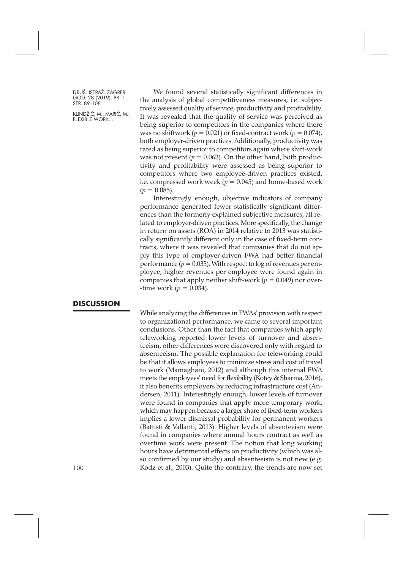KLINDŽIĆ, M., MARIĆ, M.: FLEXIBLE WORK...

We found several statistically significant differences in the analysis of global competitiveness measures, i.e. subjectively assessed quality of service, productivity and profitability. It was revealed that the quality of service was perceived as being superior to competitors in the companies where there was no shiftwork ( $p = 0.021$ ) or fixed-contract work ( $p = 0.074$ ), both employer-driven practices. Additionally, productivity was rated as being superior to competitors again where shift-work was not present ( $p = 0.063$ ). On the other hand, both productivity and profitability were assessed as being superior to competitors where two employee-driven practices existed, i.e. compressed work week ( $p = 0.045$ ) and home-based work  $(p = 0.085)$ .

Interestingly enough, objective indicators of company performance generated fewer statistically significant differences than the formerly explained subjective measures, all related to employer-driven practices. More specifically, the change in return on assets (ROA) in 2014 relative to 2013 was statistically significantly different only in the case of fixed-term contracts, where it was revealed that companies that do not apply this type of employer-driven FWA had better financial performance ( $p = 0.035$ ). With respect to log of revenues per employee, higher revenues per employee were found again in companies that apply neither shift-work ( $p = 0.049$ ) nor over--time work ( $p = 0.034$ ).

#### **DISCUSSION**

While analyzing the differences in FWAs' provision with respect to organizational performance, we came to several important conclusions. Other than the fact that companies which apply teleworking reported lower levels of turnover and absenteeism, other differences were discovered only with regard to absenteeism. The possible explanation for teleworking could be that it allows employees to minimize stress and cost of travel to work (Mamaghani, 2012) and although this internal FWA meets the employees' need for flexibility (Kotey & Sharma, 2016), it also benefits employers by reducing infrastructure cost (Andersen, 2011). Interestingly enough, lower levels of turnover were found in companies that apply more temporary work, which may happen because a larger share of fixed-term workers implies a lower dismissal probability for permanent workers (Battisti & Vallanti, 2013). Higher levels of absenteeism were found in companies where annual hours contract as well as overtime work were present. The notion that long working hours have detrimental effects on productivity (which was also confirmed by our study) and absenteeism is not new (e.g. Kodz et al., 2003). Quite the contrary, the trends are now set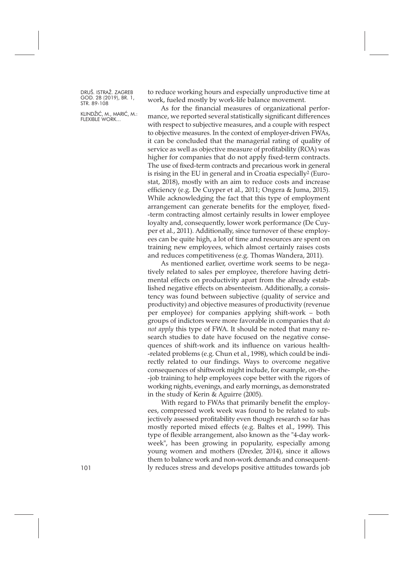KLINDŽIĆ, M., MARIĆ, M.: FLEXIBLE WORK...

to reduce working hours and especially unproductive time at work, fueled mostly by work-life balance movement.

As for the financial measures of organizational performance, we reported several statistically significant differences with respect to subjective measures, and a couple with respect to objective measures. In the context of employer-driven FWAs, it can be concluded that the managerial rating of quality of service as well as objective measure of profitability (ROA) was higher for companies that do not apply fixed-term contracts. The use of fixed-term contracts and precarious work in general is rising in the EU in general and in Croatia especially2 (Eurostat, 2018), mostly with an aim to reduce costs and increase efficiency (e.g. De Cuyper et al., 2011; Ongera & Juma, 2015). While acknowledging the fact that this type of employment arrangement can generate benefits for the employer, fixed- -term contracting almost certainly results in lower employee loyalty and, consequently, lower work performance (De Cuyper et al., 2011). Additionally, since turnover of these employees can be quite high, a lot of time and resources are spent on training new employees, which almost certainly raises costs and reduces competitiveness (e.g. Thomas Wandera, 2011).

As mentioned earlier, overtime work seems to be negatively related to sales per employee, therefore having detrimental effects on productivity apart from the already established negative effects on absenteeism. Additionally, a consistency was found between subjective (quality of service and productivity) and objective measures of productivity (revenue per employee) for companies applying shift-work – both groups of indictors were more favorable in companies that *do not apply* this type of FWA. It should be noted that many research studies to date have focused on the negative consequences of shift-work and its influence on various health- -related problems (e.g. Chun et al., 1998), which could be indirectly related to our findings. Ways to overcome negative consequences of shiftwork might include, for example, on-the- -job training to help employees cope better with the rigors of working nights, evenings, and early mornings, as demonstrated in the study of Kerin & Aguirre (2005).

With regard to FWAs that primarily benefit the employees, compressed work week was found to be related to subjectively assessed profitability even though research so far has mostly reported mixed effects (e.g. Baltes et al., 1999). This type of flexible arrangement, also known as the "4-day workweek", has been growing in popularity, especially among young women and mothers (Drexler, 2014), since it allows them to balance work and non-work demands and consequent-101 ly reduces stress and develops positive attitudes towards job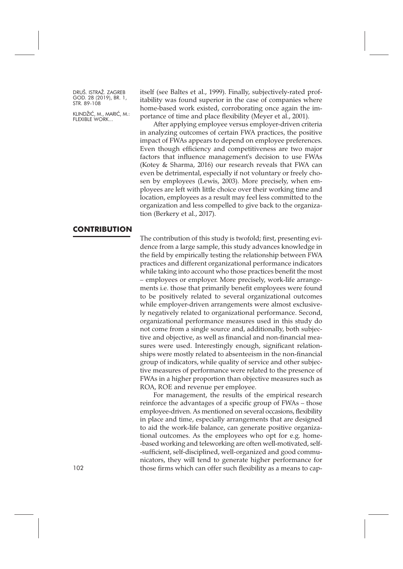KLINDŽIĆ, M., MARIĆ, M.: FLEXIBLE WORK...

itself (see Baltes et al., 1999). Finally, subjectively-rated profitability was found superior in the case of companies where home-based work existed, corroborating once again the importance of time and place flexibility (Meyer et al., 2001).

After applying employee versus employer-driven criteria in analyzing outcomes of certain FWA practices, the positive impact of FWAs appears to depend on employee preferences. Even though efficiency and competitiveness are two major factors that influence management's decision to use FWAs (Kotey & Sharma, 2016) our research reveals that FWA can even be detrimental, especially if not voluntary or freely chosen by employees (Lewis, 2003). More precisely, when employees are left with little choice over their working time and location, employees as a result may feel less committed to the organization and less compelled to give back to the organization (Berkery et al., 2017).

#### **CONTRIBUTION**

The contribution of this study is twofold; first, presenting evidence from a large sample, this study advances knowledge in the field by empirically testing the relationship between FWA practices and different organizational performance indicators while taking into account who those practices benefit the most – employees or employer. More precisely, work-life arrangements i.e. those that primarily benefit employees were found to be positively related to several organizational outcomes while employer-driven arrangements were almost exclusively negatively related to organizational performance. Second, organizational performance measures used in this study do not come from a single source and, additionally, both subjective and objective, as well as financial and non-financial measures were used. Interestingly enough, significant relationships were mostly related to absenteeism in the non-financial group of indicators, while quality of service and other subjective measures of performance were related to the presence of FWAs in a higher proportion than objective measures such as ROA, ROE and revenue per employee.

For management, the results of the empirical research reinforce the advantages of a specific group of FWAs – those employee-driven. As mentioned on several occasions, flexibility in place and time, especially arrangements that are designed to aid the work-life balance, can generate positive organizational outcomes. As the employees who opt for e.g. home- -based working and teleworking are often well-motivated, self- -sufficient, self-disciplined, well-organized and good communicators, they will tend to generate higher performance for those firms which can offer such flexibility as a means to cap-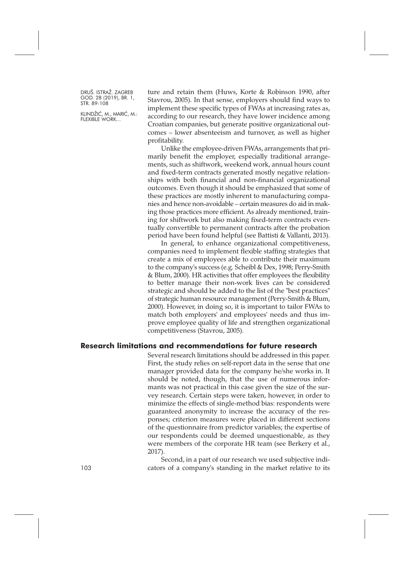KLINDŽIĆ, M., MARIĆ, M.: FLEXIBLE WORK...

ture and retain them (Huws, Korte & Robinson 1990, after Stavrou, 2005). In that sense, employers should find ways to implement these specific types of FWAs at increasing rates as, according to our research, they have lower incidence among Croatian companies, but generate positive organizational outcomes – lower absenteeism and turnover, as well as higher profitability.

Unlike the employee-driven FWAs, arrangements that primarily benefit the employer, especially traditional arrangements, such as shiftwork, weekend work, annual hours count and fixed-term contracts generated mostly negative relationships with both financial and non-financial organizational outcomes. Even though it should be emphasized that some of these practices are mostly inherent to manufacturing companies and hence non-avoidable – certain measures do aid in making those practices more efficient. As already mentioned, training for shiftwork but also making fixed-term contracts eventually convertible to permanent contracts after the probation period have been found helpful (see Battisti & Vallanti, 2013).

In general, to enhance organizational competitiveness, companies need to implement flexible staffing strategies that create a mix of employees able to contribute their maximum to the company's success (e.g. Scheibl & Dex, 1998; Perry-Smith & Blum, 2000). HR activities that offer employees the flexibility to better manage their non-work lives can be considered strategic and should be added to the list of the "best practices" of strategic human resource management (Perry-Smith & Blum, 2000). However, in doing so, it is important to tailor FWAs to match both employers' and employees' needs and thus improve employee quality of life and strengthen organizational competitiveness (Stavrou, 2005).

#### **Research limitations and recommendations for future research**

Several research limitations should be addressed in this paper. First, the study relies on self-report data in the sense that one manager provided data for the company he/she works in. It should be noted, though, that the use of numerous informants was not practical in this case given the size of the survey research. Certain steps were taken, however, in order to minimize the effects of single-method bias: respondents were guaranteed anonymity to increase the accuracy of the responses; criterion measures were placed in different sections of the questionnaire from predictor variables; the expertise of our respondents could be deemed unquestionable, as they were members of the corporate HR team (see Berkery et al., 2017).

Second, in a part of our research we used subjective indi-103 cators of a company's standing in the market relative to its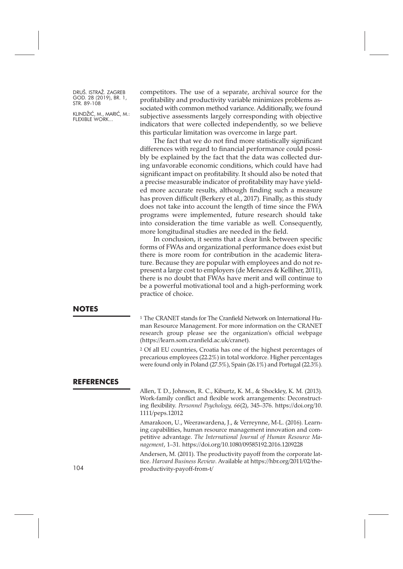KLINDŽIĆ, M., MARIĆ, M.: FLEXIBLE WORK...

competitors. The use of a separate, archival source for the profitability and productivity variable minimizes problems associated with common method variance. Additionally, we found subjective assessments largely corresponding with objective indicators that were collected independently, so we believe this particular limitation was overcome in large part.

The fact that we do not find more statistically significant differences with regard to financial performance could possibly be explained by the fact that the data was collected during unfavorable economic conditions, which could have had significant impact on profitability. It should also be noted that a precise measurable indicator of profitability may have yielded more accurate results, although finding such a measure has proven difficult (Berkery et al., 2017). Finally, as this study does not take into account the length of time since the FWA programs were implemented, future research should take into consideration the time variable as well. Consequently, more longitudinal studies are needed in the field.

In conclusion, it seems that a clear link between specific forms of FWAs and organizational performance does exist but there is more room for contribution in the academic literature. Because they are popular with employees and do not represent a large cost to employers (de Menezes & Kelliher, 2011), there is no doubt that FWAs have merit and will continue to be a powerful motivational tool and a high-performing work practice of choice.

#### **NOTES**

<sup>1</sup> The CRANET stands for The Cranfield Network on International Human Resource Management. For more information on the CRANET research group please see the organization's official webpage [\(https://learn.som.cranfield.ac.uk/cranet\)](https://learn.som.cranfield.ac.uk/cranet).

<sup>2</sup> Of all EU countries, Croatia has one of the highest percentages of precarious employees (22.2%) in total workforce. Higher percentages were found only in Poland (27.5%), Spain (26.1%) and Portugal (22.3%).

#### **REFERENCES**

Allen, T. D., Johnson, R. C., Kiburtz, K. M., & Shockley, K. M. (2013). Work-family conflict and flexible work arrangements: Deconstructing flexibility. *Personnel Psychology, 66*(2), 345–376. [https://doi.org/10.](https://doi.org/10.1111/peps.12012) [1111/peps.12012](https://doi.org/10.1111/peps.12012)

Amarakoon, U., Weerawardena, J., & Verreynne, M-L. (2016). Learning capabilities, human resource management innovation and competitive advantage. *The International Journal of Human Resource Management*, 1–31. <https://doi.org/10.1080/09585192.2016.1209228>

Andersen, M. (2011). The productivity payoff from the corporate lattice. *Harvard Business Review*. Available at [https://hbr.org/2011/02/the](https://hbr.org/2011/02/the-productivity-payoff-from-t)[productivity-payoff-from-t/](https://hbr.org/2011/02/the-productivity-payoff-from-t)

104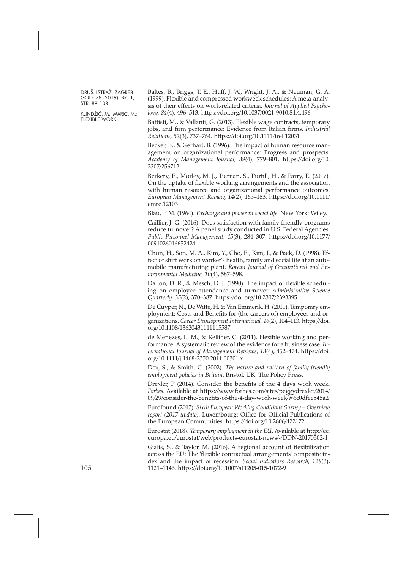KLINDŽIĆ, M., MARIĆ, M.: FLEXIBLE WORK...

Baltes, B., Briggs, T. E., Huff, J. W., Wright, J. A., & Neuman, G. A. (1999). Flexible and compressed workweek schedules: A meta-analysis of their effects on work-related criteria. *Journal of Applied Psychology, 84*(4), 496–513. <https://doi.org/10.1037/0021-9010.84.4.496>

Battisti, M., & Vallanti, G. (2013). Flexible wage contracts, temporary jobs, and firm performance: Evidence from Italian firms. *Industrial Relations, 52*(3), 737–764. <https://doi.org/10.1111/irel.12031>

Becker, B., & Gerhart, B. (1996). The impact of human resource management on organizational performance: Progress and prospects. *Academy of Management Journal, 39*(4), 779–801. [https://doi.org/10.](https://doi.org/10.2307/256712) [2307/256712](https://doi.org/10.2307/256712)

Berkery, E., Morley, M. J., Tiernan, S., Purtill, H., & Parry, E. (2017). On the uptake of flexible working arrangements and the association with human resource and organizational performance outcomes. *European Management Review, 14*(2), 165–183. [https://doi.org/10.1111/](https://doi.org/10.1111/emre.12103) [emre.12103](https://doi.org/10.1111/emre.12103)

Blau, P. M. (1964). *Exchange and power in social life*. New York: Wiley.

Caillier, J. G. (2016). Does satisfaction with family-friendly programs reduce turnover? A panel study conducted in U.S. Federal Agencies. *Public Personnel Management, 45*(3), 284–307. [https://doi.org/10.1177/](https://doi.org/10.1177/0091026016652424) [0091026016652424](https://doi.org/10.1177/0091026016652424)

Chun, H., Son, M. A., Kim, Y., Cho, E., Kim, J., & Paek, D. (1998). Effect of shift work on worker's health, family and social life at an automobile manufacturing plant. *Korean Journal of Occupational and Environmental Medicine, 10*(4), 587–598.

Dalton, D. R., & Mesch, D. J. (1990). The impact of flexible scheduling on employee attendance and turnover. *Administrative Science Quarterly, 35*(2), 370–387. <https://doi.org/10.2307/2393395>

De Cuyper, N., De Witte, H. & Van Emmerik, H. (2011). Temporary employment: Costs and Benefits for (the careers of) employees and organizations. *Career Development International, 16*(2), 104–113. [https://doi.](https://doi.org/10.1108/13620431111115587) [org/10.1108/13620431111115587](https://doi.org/10.1108/13620431111115587)

de Menezes, L. M., & Kelliher, C. (2011). Flexible working and performance: A systematic review of the evidence for a business case. *International Journal of Management Reviews, 13*(4), 452–474. [https://doi.](https://doi.org/10.1111/j.1468-2370.2011.00301.x) [org/10.1111/j.1468-2370.2011.00301.x](https://doi.org/10.1111/j.1468-2370.2011.00301.x)

Dex, S., & Smith, C. (2002). *The nature and pattern of family-friendly employment policies in Britain*. Bristol, UK: The Policy Press.

Drexler, P. (2014). Consider the benefits of the 4 days work week. *Forbes*. Available at [https://www.forbes.com/sites/peggydrexler/2014/](https://www.forbes.com/sites/peggydrexler/2014/09/29/consider-the-benefits-of-the-4-day-work-week/#6c0dfee545a2) [09/29/consider-the-benefits-of-the-4-day-work-week/#6c0dfee545a2](https://www.forbes.com/sites/peggydrexler/2014/09/29/consider-the-benefits-of-the-4-day-work-week/#6c0dfee545a2)

Eurofound (2017). *Sixth European Working Conditions Survey – Overview report (2017 update).* Luxembourg: Office for Official Publications of the European Communities. <https://doi.org/10.2806/422172>

Eurostat (2018). *Temporary employment in the EU*. Available at [http://ec.](http://ec.europa.eu/eurostat/web/products-eurostat-news/-/DDN-20170502-1) [europa.eu/eurostat/web/products-eurostat-news/-/DDN-20170502-1](http://ec.europa.eu/eurostat/web/products-eurostat-news/-/DDN-20170502-1)

Gialis, S., & Taylor, M. (2016). A regional account of flexibilization across the EU: The 'flexible contractual arrangements' composite index and the impact of recession. *Social Indicators Research, 128*(3), 105 1121–1146. <https://doi.org/10.1007/s11205-015-1072-9>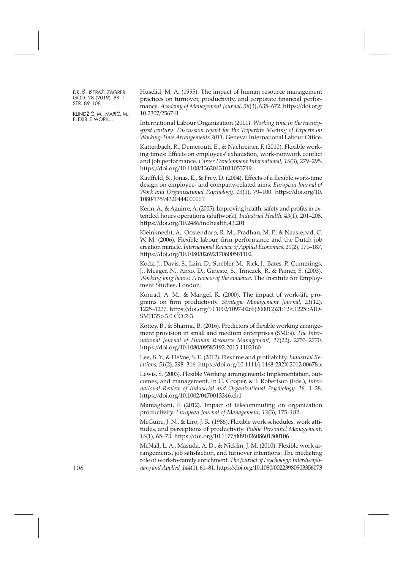KLINDŽIĆ, M., MARIĆ, M.: FLEXIBLE WORK...

Huselid, M. A. (1995). The impact of human resource management practices on turnover, productivity, and corporate financial performance. *Academy of Management Journal, 38*(3), 635–672. [https://doi.org/](https://doi.org/10.2307/256741) [10.2307/256741](https://doi.org/10.2307/256741)

International Labour Organization (2011). *Working time in the twenty- -first century: Discussion report for the Tripartite Meeting of Experts on Working-Time Arrangements 2011.* Geneva: International Labour Office.

Kattenbach, R., Demerouti, E., & Nachreiner, F. (2010). Flexible working times: Effects on employees' exhaustion, work-nonwork conflict and job performance. *Career Development International, 15*(3), 279–295. <https://doi.org/10.1108/13620431011053749>

Kauffeld, S., Jonas, E., & Frey, D. (2004). Effects of a flexible work-time design on employee- and company-related aims. *European Journal of Work and Organizational Psychology, 13*(1), 79–100. [https://doi.org/10.](https://doi.org/10.1080/13594320444000001) [1080/13594320444000001](https://doi.org/10.1080/13594320444000001)

Kerin, A., & Aguirre, A. (2005). Improving health, safety and profits in extended hours operations (shiftwork). *Industrial Health, 43*(1), 201–208. <https://doi.org/10.2486/indhealth.43.201>

Kleinknecht, A., Oostendorp, R. M., Pradhan, M. P., & Naastepad, C. W. M. (2006). Flexible labour, firm performance and the Dutch job creation miracle. *International Review of Applied Economics, 20*(2), 171–187. <https://doi.org/10.1080/02692170600581102>

Kodz, J., Davis, S., Lain, D., Strebler, M., Rick, J., Bates, P., Cummings, J., Meager, N., Anxo, D., Gineste, S., Trinczek, R. & Pamer, S. (2003). *Working long hours: A review of the evidence*. The Institute for Employment Studies, London.

Konrad, A. M., & Mangel, R. (2000). The impact of work-life programs on firm productivity. *Strategic Management Journal, 21*(12), 1225–1237. [https://doi.org/10.1002/1097-0266\(200012\)21:12<1225::AID-](https://doi.org/10.1002/1097-0266(200012)21:12<1225::AID-SMJ135>3.0.CO;2-3)[SMJ135>3.0.CO;2-3](https://doi.org/10.1002/1097-0266(200012)21:12<1225::AID-SMJ135>3.0.CO;2-3)

Kottey, B., & Sharma, B. (2016). Predictors of flexible working arrangement provision in small and medium enterprises (SMEs). *The International Journal of Human Resource Management, 27*(22), 2753–2770. <https://doi.org/10.1080/09585192.2015.1102160>

Lee, B. Y., & DeVoe, S. E. (2012). Flextime and profitability. *Industrial Relations, 51*(2), 298–316. <https://doi.org/10.1111/j.1468-232X.2012.00678.x>

Lewis, S. (2003). Flexible Working arrangements: Implementation, outcomes, and management. In C. Cooper, & I. Robertson (Eds.), *International Review of Industrial and Organizational Psychology, 18,* 1–28. <https://doi.org/10.1002/0470013346.ch1>

Mamaghani, F. (2012). Impact of telecommuting on organization productivity. *European Journal of Management, 12*(3), 175–182.

McGuire, J. N., & Liro, J. R. (1986). Flexible work schedules, work attitudes, and perceptions of productivity. *Public Personnel Management, 15*(1), 65–73. <https://doi.org/10.1177/009102608601500106>

McNall, L. A., Masuda, A. D., & Nicklin, J. M. (2010). Flexible work arrangements, job satisfaction, and turnover intentions: The mediating role of work-to-family enrichment. The Journal of Psychology: Interdiscipli*nary andApplied, 144*(1), 61–81. <https://doi.org/10.1080/00223980903356073>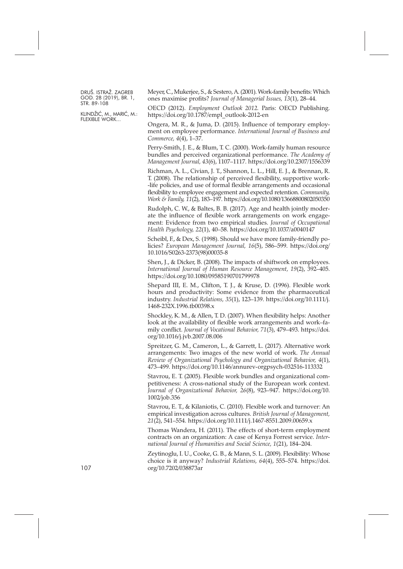KLINDŽIĆ, M., MARIĆ, M.: FLEXIBLE WORK...

Meyer, C., Mukerjee, S., & Sestero,A. (2001). Work-family benefits: Which ones maximise profits? *Journal of Managerial Issues, 13*(1), 28–44.

OECD (2012). *Employment Outlook 2012.* Paris: OECD Publishing. [https://doi.org/10.1787/empl\\_outlook-2012-en](https://doi.org/10.1787/empl_outlook-2012-en)

Ongera, M. R., & Juma, D. (2015). Influence of temporary employment on employee performance. *International Journal of Business and Commerce, 4*(4), 1–37.

Perry-Smith, J. E., & Blum, T. C. (2000). Work-family human resource bundles and perceived organizational performance. *The Academy of Management Journal, 43*(6), 1107–1117. <https://doi.org/10.2307/1556339>

Richman, A. L., Civian, J. T., Shannon, L. L., Hill, E. J., & Brennan, R. T. (2008). The relationship of perceived flexibility, supportive work- -life policies, and use of formal flexible arrangements and occasional flexibility to employee engagement and expected retention. *Community, Work & Family, 11*(2), 183–197. <https://doi.org/10.1080/13668800802050350>

Rudolph, C. W., & Baltes, B. B. (2017). Age and health jointly moderate the influence of flexible work arrangements on work engagement: Evidence from two empirical studies. *Journal of Occupational Health Psychology, 22*(1), 40–58. <https://doi.org/10.1037/a0040147>

Scheibl, F., & Dex, S. (1998). Should we have more family-friendly policies? *European Management Journal, 16*(5), 586–599. [https://doi.org/](https://doi.org/10.1016/S0263-2373(98)00035-8) [10.1016/S0263-2373\(98\)00035-8](https://doi.org/10.1016/S0263-2373(98)00035-8)

Shen, J., & Dicker, B. (2008). The impacts of shiftwork on employees. *International Journal of Human Resource Management, 19*(2), 392–405. <https://doi.org/10.1080/09585190701799978>

Shepard III, E. M., Clifton, T. J., & Kruse, D. (1996). Flexible work hours and productivity: Some evidence from the pharmaceutical industry. *Industrial Relations, 35*(1), 123–139. [https://doi.org/10.1111/j.](https://doi.org/10.1111/j.1468-232X.1996.tb00398.x) [1468-232X.1996.tb00398.x](https://doi.org/10.1111/j.1468-232X.1996.tb00398.x)

Shockley, K. M., & Allen, T. D. (2007). When flexibility helps: Another look at the availability of flexible work arrangements and work–family conflict. *Journal of Vocational Behavior, 71*(3), 479–493. [https://doi.](https://doi.org/10.1016/j.jvb.2007.08.006) [org/10.1016/j.jvb.2007.08.006](https://doi.org/10.1016/j.jvb.2007.08.006)

Spreitzer, G. M., Cameron, L., & Garrett, L. (2017). Alternative work arrangements: Two images of the new world of work. *The Annual Review of Organizational Psychology and Organizational Behavior, 4*(1), 473–499. <https://doi.org/10.1146/annurev-orgpsych-032516-113332>

Stavrou, E. T. (2005). Flexible work bundles and organizational competitiveness: A cross-national study of the European work context. *Journal of Organizational Behavior, 26*(8), 923–947. [https://doi.org/10.](https://doi.org/10.1002/job.356) [1002/job.356](https://doi.org/10.1002/job.356)

Stavrou, E. T., & Kilaniotis, C. (2010). Flexible work and turnover: An empirical investigation across cultures. *British Journal of Management, 21*(2), 541–554. <https://doi.org/10.1111/j.1467-8551.2009.00659.x>

Thomas Wandera, H. (2011). The effects of short-term employment contracts on an organization: A case of Kenya Forrest service. *International Journal of Humanities and Social Science, 1*(21), 184–204.

Zeytinoglu, I. U., Cooke, G. B., & Mann, S. L. (2009). Flexibility: Whose choice is it anyway? *Industrial Relations, 64*(4), 555–574. [https://doi.](https://doi.org/10.7202/038873ar) 107 [org/10.7202/038873ar](https://doi.org/10.7202/038873ar)